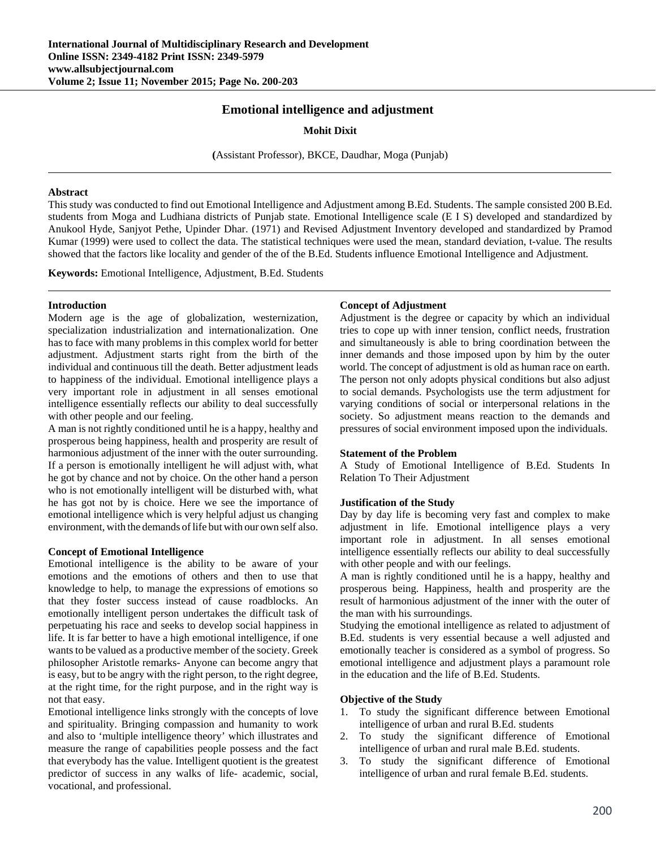# **Emotional intelligence and adjustment**

**Mohit Dixit** 

**(**Assistant Professor), BKCE, Daudhar, Moga (Punjab)

#### **Abstract**

This study was conducted to find out Emotional Intelligence and Adjustment among B.Ed. Students. The sample consisted 200 B.Ed. students from Moga and Ludhiana districts of Punjab state. Emotional Intelligence scale (E I S) developed and standardized by Anukool Hyde, Sanjyot Pethe, Upinder Dhar. (1971) and Revised Adjustment Inventory developed and standardized by Pramod Kumar (1999) were used to collect the data. The statistical techniques were used the mean, standard deviation, t-value. The results showed that the factors like locality and gender of the of the B.Ed. Students influence Emotional Intelligence and Adjustment*.*

**Keywords:** Emotional Intelligence, Adjustment, B.Ed. Students

### **Introduction**

Modern age is the age of globalization, westernization, specialization industrialization and internationalization. One has to face with many problems in this complex world for better adjustment. Adjustment starts right from the birth of the individual and continuous till the death. Better adjustment leads to happiness of the individual. Emotional intelligence plays a very important role in adjustment in all senses emotional intelligence essentially reflects our ability to deal successfully with other people and our feeling.

A man is not rightly conditioned until he is a happy, healthy and prosperous being happiness, health and prosperity are result of harmonious adjustment of the inner with the outer surrounding. If a person is emotionally intelligent he will adjust with, what he got by chance and not by choice. On the other hand a person who is not emotionally intelligent will be disturbed with, what he has got not by is choice. Here we see the importance of emotional intelligence which is very helpful adjust us changing environment, with the demands of life but with our own self also.

### **Concept of Emotional Intelligence**

Emotional intelligence is the ability to be aware of your emotions and the emotions of others and then to use that knowledge to help, to manage the expressions of emotions so that they foster success instead of cause roadblocks. An emotionally intelligent person undertakes the difficult task of perpetuating his race and seeks to develop social happiness in life. It is far better to have a high emotional intelligence, if one wants to be valued as a productive member of the society. Greek philosopher Aristotle remarks- Anyone can become angry that is easy, but to be angry with the right person, to the right degree, at the right time, for the right purpose, and in the right way is not that easy.

Emotional intelligence links strongly with the concepts of love and spirituality. Bringing compassion and humanity to work and also to 'multiple intelligence theory' which illustrates and measure the range of capabilities people possess and the fact that everybody has the value. Intelligent quotient is the greatest predictor of success in any walks of life- academic, social, vocational, and professional.

### **Concept of Adjustment**

Adjustment is the degree or capacity by which an individual tries to cope up with inner tension, conflict needs, frustration and simultaneously is able to bring coordination between the inner demands and those imposed upon by him by the outer world. The concept of adjustment is old as human race on earth. The person not only adopts physical conditions but also adjust to social demands. Psychologists use the term adjustment for varying conditions of social or interpersonal relations in the society. So adjustment means reaction to the demands and pressures of social environment imposed upon the individuals.

### **Statement of the Problem**

A Study of Emotional Intelligence of B.Ed. Students In Relation To Their Adjustment

### **Justification of the Study**

Day by day life is becoming very fast and complex to make adjustment in life. Emotional intelligence plays a very important role in adjustment. In all senses emotional intelligence essentially reflects our ability to deal successfully with other people and with our feelings.

A man is rightly conditioned until he is a happy, healthy and prosperous being. Happiness, health and prosperity are the result of harmonious adjustment of the inner with the outer of the man with his surroundings.

Studying the emotional intelligence as related to adjustment of B.Ed. students is very essential because a well adjusted and emotionally teacher is considered as a symbol of progress. So emotional intelligence and adjustment plays a paramount role in the education and the life of B.Ed. Students.

### **Objective of the Study**

- 1. To study the significant difference between Emotional intelligence of urban and rural B.Ed. students
- 2. To study the significant difference of Emotional intelligence of urban and rural male B.Ed. students.
- 3. To study the significant difference of Emotional intelligence of urban and rural female B.Ed. students.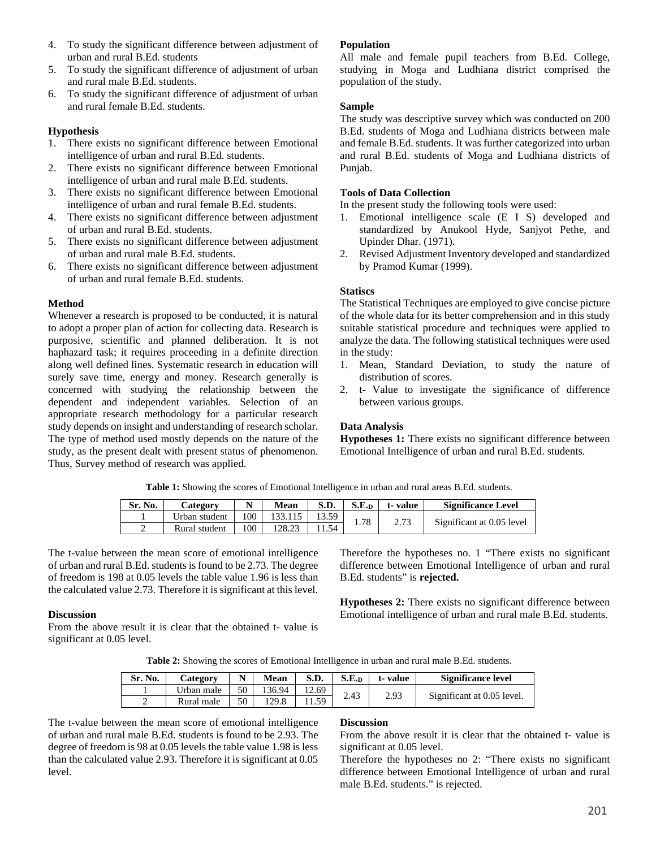- 4. To study the significant difference between adjustment of urban and rural B.Ed. students
- 5. To study the significant difference of adjustment of urban and rural male B.Ed. students.
- 6. To study the significant difference of adjustment of urban and rural female B.Ed. students.

## **Hypothesis**

- 1. There exists no significant difference between Emotional intelligence of urban and rural B.Ed. students.
- 2. There exists no significant difference between Emotional intelligence of urban and rural male B.Ed. students.
- 3. There exists no significant difference between Emotional intelligence of urban and rural female B.Ed. students.
- 4. There exists no significant difference between adjustment of urban and rural B.Ed. students.
- 5. There exists no significant difference between adjustment of urban and rural male B.Ed. students.
- 6. There exists no significant difference between adjustment of urban and rural female B.Ed. students.

## **Method**

Whenever a research is proposed to be conducted, it is natural to adopt a proper plan of action for collecting data. Research is purposive, scientific and planned deliberation. It is not haphazard task; it requires proceeding in a definite direction along well defined lines. Systematic research in education will surely save time, energy and money. Research generally is concerned with studying the relationship between the dependent and independent variables. Selection of an appropriate research methodology for a particular research study depends on insight and understanding of research scholar. The type of method used mostly depends on the nature of the study, as the present dealt with present status of phenomenon. Thus, Survey method of research was applied.

# **Population**

All male and female pupil teachers from B.Ed. College, studying in Moga and Ludhiana district comprised the population of the study.

## **Sample**

The study was descriptive survey which was conducted on 200 B.Ed. students of Moga and Ludhiana districts between male and female B.Ed. students. It was further categorized into urban and rural B.Ed. students of Moga and Ludhiana districts of Punjab.

## **Tools of Data Collection**

In the present study the following tools were used:

- 1. Emotional intelligence scale (E I S) developed and standardized by Anukool Hyde, Sanjyot Pethe, and Upinder Dhar. (1971).
- 2. Revised Adjustment Inventory developed and standardized by Pramod Kumar (1999).

# **Statiscs**

The Statistical Techniques are employed to give concise picture of the whole data for its better comprehension and in this study suitable statistical procedure and techniques were applied to analyze the data. The following statistical techniques were used in the study:

- 1. Mean, Standard Deviation, to study the nature of distribution of scores.
- 2. t- Value to investigate the significance of difference between various groups.

## **Data Analysis**

**Hypotheses 1:** There exists no significant difference between Emotional Intelligence of urban and rural B.Ed. students.

**Table 1:** Showing the scores of Emotional Intelligence in urban and rural areas B.Ed. students.

| Sr. No. | Categorv      |    | Mean   | S.D.  | S.E.n | t-value | <b>Significance Level</b> |
|---------|---------------|----|--------|-------|-------|---------|---------------------------|
|         | Urban student | 00 |        | 13.59 |       | 2.73    |                           |
|         | Rural student | 00 | 128.23 | 154   | 1.78  |         | Significant at 0.05 level |

The t-value between the mean score of emotional intelligence of urban and rural B.Ed. students is found to be 2.73. The degree of freedom is 198 at 0.05 levels the table value 1.96 is less than the calculated value 2.73. Therefore it is significant at this level.

## **Discussion**

From the above result it is clear that the obtained t- value is significant at 0.05 level.

Therefore the hypotheses no. 1 "There exists no significant difference between Emotional Intelligence of urban and rural B.Ed. students" is **rejected.** 

**Hypotheses 2:** There exists no significant difference between Emotional intelligence of urban and rural male B.Ed. students.

**Table 2:** Showing the scores of Emotional Intelligence in urban and rural male B.Ed. students.

| Sr. No. | <b>Category</b> | N  | <b>Mean</b> | S.D.  | S.E.D | t-value | Significance level         |
|---------|-----------------|----|-------------|-------|-------|---------|----------------------------|
|         | Urban male      | 50 | 136.94      | 12.69 | 2.43  |         |                            |
|         | Rural male      | 50 | 129.8       | .1.59 |       | 2.93    | Significant at 0.05 level. |

The t-value between the mean score of emotional intelligence of urban and rural male B.Ed. students is found to be 2.93. The degree of freedom is 98 at 0.05 levels the table value 1.98 is less than the calculated value 2.93. Therefore it is significant at 0.05 level.

### **Discussion**

From the above result it is clear that the obtained t- value is significant at 0.05 level.

Therefore the hypotheses no 2: "There exists no significant difference between Emotional Intelligence of urban and rural male B.Ed. students." is rejected.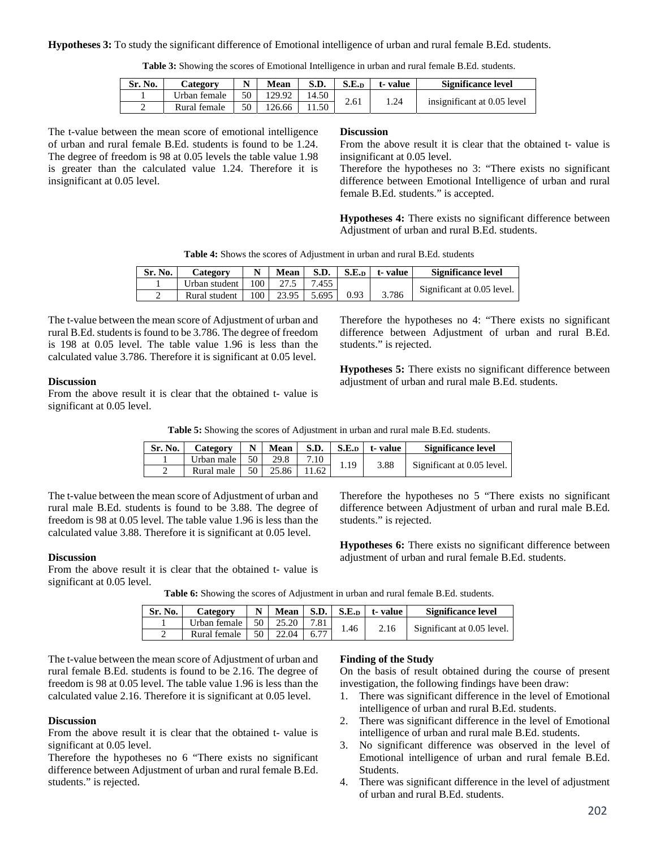**Hypotheses 3:** To study the significant difference of Emotional intelligence of urban and rural female B.Ed. students.

|  | <b>Table 3:</b> Showing the scores of Emotional Intelligence in urban and rural female B.Ed. students. |  |
|--|--------------------------------------------------------------------------------------------------------|--|
|--|--------------------------------------------------------------------------------------------------------|--|

| Sr. No. | <b>Category</b> |    | <b>Mean</b> | S.D.  | S.E.D | t-value | Significance level          |
|---------|-----------------|----|-------------|-------|-------|---------|-----------------------------|
|         | Urban female    | 50 | 129.92      | 14.50 | 2.61  | .24     | insignificant at 0.05 level |
|         | Rural female    | 50 | 126.66      | 11.50 |       |         |                             |

The t-value between the mean score of emotional intelligence of urban and rural female B.Ed. students is found to be 1.24. The degree of freedom is 98 at 0.05 levels the table value 1.98 is greater than the calculated value 1.24. Therefore it is insignificant at 0.05 level.

#### **Discussion**

From the above result it is clear that the obtained t- value is insignificant at 0.05 level.

Therefore the hypotheses no 3: "There exists no significant difference between Emotional Intelligence of urban and rural female B.Ed. students." is accepted.

**Hypotheses 4:** There exists no significant difference between Adjustment of urban and rural B.Ed. students.

**Table 4:** Shows the scores of Adjustment in urban and rural B.Ed. students

| Sr. No. | Category      | N                | <b>Mean</b> | S.D.  |      | $S.E.D$ $t$ -value | Significance level         |
|---------|---------------|------------------|-------------|-------|------|--------------------|----------------------------|
|         | Urban student | 100 <sub>1</sub> | 27.5        | 7.455 |      |                    | Significant at 0.05 level. |
|         | Rural student | 100 <sub>1</sub> | 23.95       | 5.695 | 0.93 | 3.786              |                            |

The t-value between the mean score of Adjustment of urban and rural B.Ed. students is found to be 3.786. The degree of freedom is 198 at 0.05 level. The table value 1.96 is less than the calculated value 3.786. Therefore it is significant at 0.05 level.

### **Discussion**

From the above result it is clear that the obtained t- value is significant at 0.05 level.

Therefore the hypotheses no 4: "There exists no significant difference between Adjustment of urban and rural B.Ed. students." is rejected.

**Hypotheses 5:** There exists no significant difference between adjustment of urban and rural male B.Ed. students.

**Table 5:** Showing the scores of Adjustment in urban and rural male B.Ed. students.

| Sr. No. | Category     | N               | <b>Mean</b> |       |     | $S.D.$ $S.E.D.$ $t$ -value | <b>Significance level</b>  |
|---------|--------------|-----------------|-------------|-------|-----|----------------------------|----------------------------|
|         | Urban male   | 50 l            | 29.8        | 7.10  | 110 |                            | Significant at 0.05 level. |
|         | Rural male 1 | 50 <sub>1</sub> | 25.86       | 11.62 |     | 3.88                       |                            |

The t-value between the mean score of Adjustment of urban and rural male B.Ed. students is found to be 3.88. The degree of freedom is 98 at 0.05 level. The table value 1.96 is less than the calculated value 3.88. Therefore it is significant at 0.05 level.

## **Discussion**

From the above result it is clear that the obtained t- value is significant at 0.05 level.

difference between Adjustment of urban and rural male B.Ed. students." is rejected.

**Hypotheses 6:** There exists no significant difference between adjustment of urban and rural female B.Ed. students.

Therefore the hypotheses no 5 "There exists no significant

**Table 6:** Showing the scores of Adjustment in urban and rural female B.Ed. students.

| Sr. No. | Categorv     | $N_{\perp}$ |       |      |      | Mean $\vert$ S.D. $\vert$ S.E. <sub>D</sub> $\vert$ t-value | <b>Significance level</b>  |
|---------|--------------|-------------|-------|------|------|-------------------------------------------------------------|----------------------------|
|         | Urban female | 50 l        | 25.20 | 7.81 | 1.46 |                                                             |                            |
|         | Rural female | 50 l        | 22.04 | 6.77 |      | 2.16                                                        | Significant at 0.05 level. |

The t-value between the mean score of Adjustment of urban and rural female B.Ed. students is found to be 2.16. The degree of freedom is 98 at 0.05 level. The table value 1.96 is less than the calculated value 2.16. Therefore it is significant at 0.05 level.

## **Discussion**

From the above result it is clear that the obtained t-value is significant at 0.05 level.

Therefore the hypotheses no 6 "There exists no significant difference between Adjustment of urban and rural female B.Ed. students." is rejected.

## **Finding of the Study**

On the basis of result obtained during the course of present investigation, the following findings have been draw:

- 1. There was significant difference in the level of Emotional intelligence of urban and rural B.Ed. students.
- 2. There was significant difference in the level of Emotional intelligence of urban and rural male B.Ed. students.
- 3. No significant difference was observed in the level of Emotional intelligence of urban and rural female B.Ed. Students.
- 4. There was significant difference in the level of adjustment of urban and rural B.Ed. students.